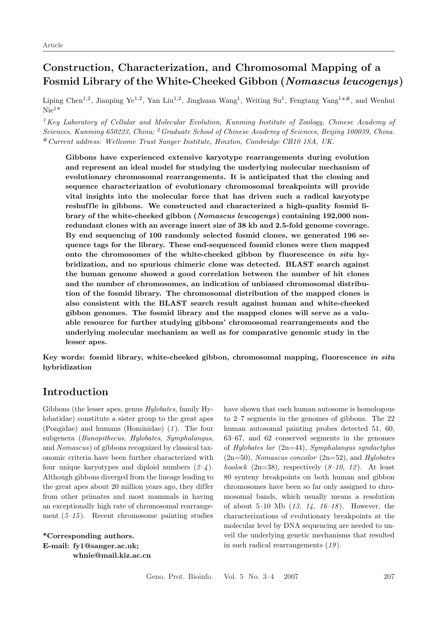# **Construction, Characterization, and Chromosomal Mapping of a Fosmid Library of the White-Cheeked Gibbon (***Nomascus leucogenys***)**

Liping Chen<sup>1,2</sup>, Jianping Ye<sup>1,2</sup>, Yan Liu<sup>1,2</sup>, Jinghuan Wang<sup>1</sup>, Weiting Su<sup>1</sup>, Fengtang Yang<sup>1\*#</sup>, and Wenhui  $\mathrm{Nie}^{1*}$ 

<sup>1</sup>*Key Laboratory of Cellular and Molecular Evolution, Kunming Institute of Zoology, Chinese Academy of Sciences, Kunming 650223, China;* <sup>2</sup>*Graduate School of Chinese Academy of Sciences, Beijing 100039, China.* #*Current address: Wellcome Trust Sanger Institute, Hinxton, Cambridge CB10 1SA, UK.*

**Gibbons have experienced extensive karyotype rearrangements during evolution and represent an ideal model for studying the underlying molecular mechanism of evolutionary chromosomal rearrangements. It is anticipated that the cloning and sequence characterization of evolutionary chromosomal breakpoints will provide vital insights into the molecular force that has driven such a radical karyotype** reshuffle in gibbons. We constructed and characterized a high-quality fosmid li**brary of the white-cheeked gibbon (***Nomascus leucogenys***) containing 192,000 nonredundant clones with an average insert size of 38 kb and 2.5-fold genome coverage. By end sequencing of 100 randomly selected fosmid clones, we generated 196 sequence tags for the library. These end-sequenced fosmid clones were then mapped** onto the chromosomes of the white-cheeked gibbon by fluorescence *in situ* hy**bridization, and no spurious chimeric clone was detected. BLAST search against the human genome showed a good correlation between the number of hit clones and the number of chromosomes, an indication of unbiased chromosomal distribution of the fosmid library. The chromosomal distribution of the mapped clones is also consistent with the BLAST search result against human and white-cheeked gibbon genomes. The fosmid library and the mapped clones will serve as a valuable resource for further studying gibbons' chromosomal rearrangements and the underlying molecular mechanism as well as for comparative genomic study in the lesser apes.**

**Key words: fosmid library, white-cheeked gibbon, chromosomal mapping, f luorescence** *in situ* **hybridization**

## **Introduction**

Gibbons (the lesser apes, genus *Hylobates*, family Hylobatidae) constitute a sister group to the great apes (Pongidae) and humans (Hominidae) (*1* ). The four subgenera (*Bunopithecus*, *Hylobates*, *Symphalangus*, and *Nomascus*) of gibbons recognized by classical taxonomic criteria have been further characterized with four unique karyotypes and diploid numbers (*2–4* ). Although gibbons diverged from the lineage leading to the great apes about 20 million years ago, they differ from other primates and most mammals in having an exceptionally high rate of chromosomal rearrangement (*5–15* ). Recent chromosome painting studies

**\*Corresponding authors. E-mail: fy1@sanger.ac.uk; whnie@mail.kiz.ac.cn** have shown that each human autosome is homologous to 2–7 segments in the genomes of gibbons. The 22 human autosomal painting probes detected 51, 60, 63–67, and 62 conserved segments in the genomes of *Hylobates lar* (2n=44), *Symphalangus syndactylus* (2n=50), *Nomascus concolor* (2n=52), and *Hylobates hoolock* (2n=38), respectively  $(8-10, 12)$ . At least 80 synteny breakpoints on both human and gibbon chromosomes have been so far only assigned to chromosomal bands, which usually means a resolution of about 5–10 Mb (*13, 14, 16–18* ). However, the characterizations of evolutionary breakpoints at the molecular level by DNA sequencing are needed to unveil the underlying genetic mechanisms that resulted in such radical rearrangements (*19* ).

Geno. Prot. Bioinfo. Vol. 5 No. 3–4 2007 207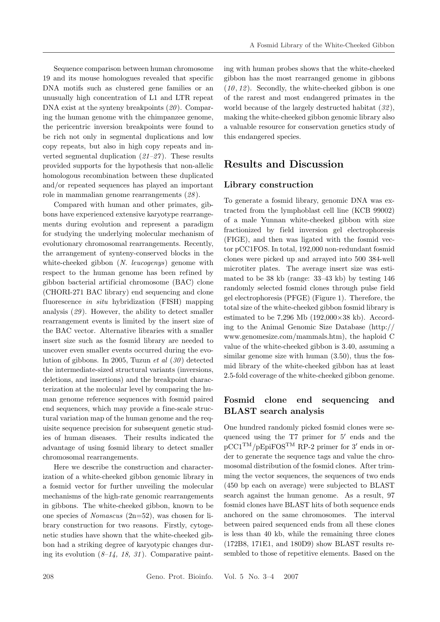Sequence comparison between human chromosome 19 and its mouse homologues revealed that specific DNA motifs such as clustered gene families or an unusually high concentration of L1 and LTR repeat DNA exist at the synteny breakpoints (*20* ). Comparing the human genome with the chimpanzee genome, the pericentric inversion breakpoints were found to be rich not only in segmental duplications and low copy repeats, but also in high copy repeats and inverted segmental duplication (*21–27* ). These results provided supports for the hypothesis that non-allelic homologous recombination between these duplicated and/or repeated sequences has played an important role in mammalian genome rearrangements (*28* ).

Compared with human and other primates, gibbons have experienced extensive karyotype rearrangements during evolution and represent a paradigm for studying the underlying molecular mechanism of evolutionary chromosomal rearrangements. Recently, the arrangement of synteny-conserved blocks in the white-cheeked gibbon (*N. leucogenys*) genome with respect to the human genome has been refined by gibbon bacterial artificial chromosome (BAC) clone (CHORI-271 BAC library) end sequencing and clone fluorescence *in situ* hybridization (FISH) mapping analysis (*29* ). However, the ability to detect smaller rearrangement events is limited by the insert size of the BAC vector. Alternative libraries with a smaller insert size such as the fosmid library are needed to uncover even smaller events occurred during the evolution of gibbons. In 2005, Tuzun *et al* (*30* ) detected the intermediate-sized structural variants (inversions, deletions, and insertions) and the breakpoint characterization at the molecular level by comparing the human genome reference sequences with fosmid paired end sequences, which may provide a fine-scale structural variation map of the human genome and the requisite sequence precision for subsequent genetic studies of human diseases. Their results indicated the advantage of using fosmid library to detect smaller chromosomal rearrangements.

Here we describe the construction and characterization of a white-cheeked gibbon genomic library in a fosmid vector for further unveiling the molecular mechanisms of the high-rate genomic rearrangements in gibbons. The white-cheeked gibbon, known to be one species of *Nomascus* (2n=52), was chosen for library construction for two reasons. Firstly, cytogenetic studies have shown that the white-cheeked gibbon had a striking degree of karyotypic changes during its evolution  $(8-14, 18, 31)$ . Comparative painting with human probes shows that the white-cheeked gibbon has the most rearranged genome in gibbons  $(10, 12)$ . Secondly, the white-cheeked gibbon is one of the rarest and most endangered primates in the world because of the largely destructed habitat (*32* ), making the white-cheeked gibbon genomic library also a valuable resource for conservation genetics study of this endangered species.

## **Results and Discussion**

#### **Library construction**

To generate a fosmid library, genomic DNA was extracted from the lymphoblast cell line (KCB 99002) of a male Yunnan white-cheeked gibbon with size fractionized by field inversion gel electrophoresis (FIGE), and then was ligated with the fosmid vector pCC1FOS. In total, 192,000 non-redundant fosmid clones were picked up and arrayed into 500 384-well microtiter plates. The average insert size was estimated to be 38 kb (range: 33–43 kb) by testing 146 randomly selected fosmid clones through pulse field gel electrophoresis (PFGE) (Figure 1). Therefore, the total size of the white-cheeked gibbon fosmid library is estimated to be  $7,296$  Mb  $(192,000\times38$  kb). According to the Animal Genomic Size Database (http:// www.genomesize.com/mammals.htm), the haploid C value of the white-cheeked gibbon is 3.40, assuming a similar genome size with human (3.50), thus the fosmid library of the white-cheeked gibbon has at least 2.5-fold coverage of the white-cheeked gibbon genome.

### **Fosmid clone end sequencing and BLAST search analysis**

One hundred randomly picked fosmid clones were sequenced using the  $T7$  primer for  $5'$  ends and the  $pCC1<sup>TM</sup>/pEpiFOS<sup>TM</sup> RP-2 primer for 3' ends in or$ der to generate the sequence tags and value the chromosomal distribution of the fosmid clones. After trimming the vector sequences, the sequences of two ends (450 bp each on average) were subjected to BLAST search against the human genome. As a result, 97 fosmid clones have BLAST hits of both sequence ends anchored on the same chromosomes. The interval between paired sequenced ends from all these clones is less than 40 kb, while the remaining three clones (172B8, 171E1, and 180D9) show BLAST results resembled to those of repetitive elements. Based on the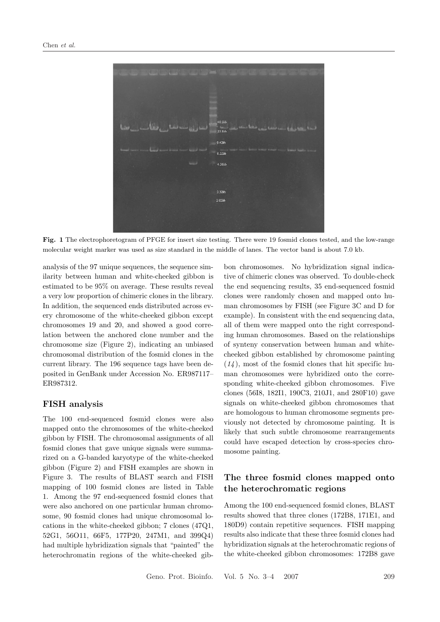

**Fig. 1** The electrophoretogram of PFGE for insert size testing. There were 19 fosmid clones tested, and the low-range molecular weight marker was used as size standard in the middle of lanes. The vector band is about 7.0 kb.

analysis of the 97 unique sequences, the sequence similarity between human and white-cheeked gibbon is estimated to be 95% on average. These results reveal a very low proportion of chimeric clones in the library. In addition, the sequenced ends distributed across every chromosome of the white-cheeked gibbon except chromosomes 19 and 20, and showed a good correlation between the anchored clone number and the chromosome size (Figure 2), indicating an unbiased chromosomal distribution of the fosmid clones in the current library. The 196 sequence tags have been deposited in GenBank under Accession No. ER987117– ER987312.

#### **FISH analysis**

The 100 end-sequenced fosmid clones were also mapped onto the chromosomes of the white-cheeked gibbon by FISH. The chromosomal assignments of all fosmid clones that gave unique signals were summarized on a G-banded karyotype of the white-cheeked gibbon (Figure 2) and FISH examples are shown in Figure 3. The results of BLAST search and FISH mapping of 100 fosmid clones are listed in Table 1. Among the 97 end-sequenced fosmid clones that were also anchored on one particular human chromosome, 90 fosmid clones had unique chromosomal locations in the white-cheeked gibbon; 7 clones (47Q1, 52G1, 56O11, 66F5, 177P20, 247M1, and 399Q4) had multiple hybridization signals that "painted" the heterochromatin regions of the white-cheeked gibbon chromosomes. No hybridization signal indicative of chimeric clones was observed. To double-check the end sequencing results, 35 end-sequenced fosmid clones were randomly chosen and mapped onto human chromosomes by FISH (see Figure 3C and D for example). In consistent with the end sequencing data, all of them were mapped onto the right corresponding human chromosomes. Based on the relationships of synteny conservation between human and whitecheeked gibbon established by chromosome painting  $(14)$ , most of the fosmid clones that hit specific human chromosomes were hybridized onto the corresponding white-cheeked gibbon chromosomes. Five clones (56I8, 182I1, 190C3, 210J1, and 280F10) gave signals on white-cheeked gibbon chromosomes that are homologous to human chromosome segments previously not detected by chromosome painting. It is likely that such subtle chromosome rearrangements could have escaped detection by cross-species chromosome painting.

### **The three fosmid clones mapped onto the heterochromatic regions**

Among the 100 end-sequenced fosmid clones, BLAST results showed that three clones (172B8, 171E1, and 180D9) contain repetitive sequences. FISH mapping results also indicate that these three fosmid clones had hybridization signals at the heterochromatic regions of the white-cheeked gibbon chromosomes: 172B8 gave

Geno. Prot. Bioinfo. Vol. 5 No. 3–4 2007 209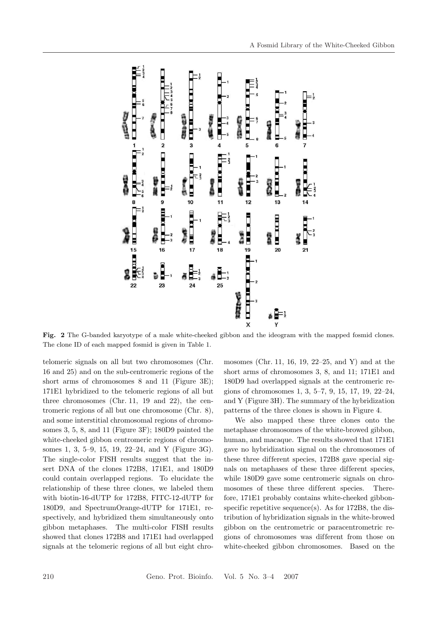

Fig. 2 The G-banded karyotype of a male white-cheeked gibbon and the ideogram with the mapped fosmid clones. The clone ID of each mapped fosmid is given in Table 1.

telomeric signals on all but two chromosomes (Chr. 16 and 25) and on the sub-centromeric regions of the short arms of chromosomes 8 and 11 (Figure 3E); 171E1 hybridized to the telomeric regions of all but three chromosomes (Chr. 11, 19 and 22), the centromeric regions of all but one chromosome (Chr. 8), and some interstitial chromosomal regions of chromosomes 3, 5, 8, and 11 (Figure 3F); 180D9 painted the white-cheeked gibbon centromeric regions of chromosomes 1, 3, 5–9, 15, 19, 22–24, and Y (Figure 3G). The single-color FISH results suggest that the insert DNA of the clones 172B8, 171E1, and 180D9 could contain overlapped regions. To elucidate the relationship of these three clones, we labeled them with biotin-16-dUTP for 172B8, FITC-12-dUTP for 180D9, and SpectrumOrange-dUTP for 171E1, respectively, and hybridized them simultaneously onto gibbon metaphases. The multi-color FISH results showed that clones 172B8 and 171E1 had overlapped signals at the telomeric regions of all but eight chro-

mosomes (Chr. 11, 16, 19, 22–25, and Y) and at the short arms of chromosomes 3, 8, and 11; 171E1 and 180D9 had overlapped signals at the centromeric regions of chromosomes 1, 3, 5–7, 9, 15, 17, 19, 22–24, and Y (Figure 3H). The summary of the hybridization patterns of the three clones is shown in Figure 4.

We also mapped these three clones onto the metaphase chromosomes of the white-browed gibbon, human, and macaque. The results showed that 171E1 gave no hybridization signal on the chromosomes of these three different species, 172B8 gave special signals on metaphases of these three different species, while 180D9 gave some centromeric signals on chromosomes of these three different species. Therefore, 171E1 probably contains white-cheeked gibbonspecific repetitive sequence(s). As for 172B8, the distribution of hybridization signals in the white-browed gibbon on the centrometric or paracentrometric regions of chromosomes was dif ferent from those on white-cheeked gibbon chromosomes. Based on the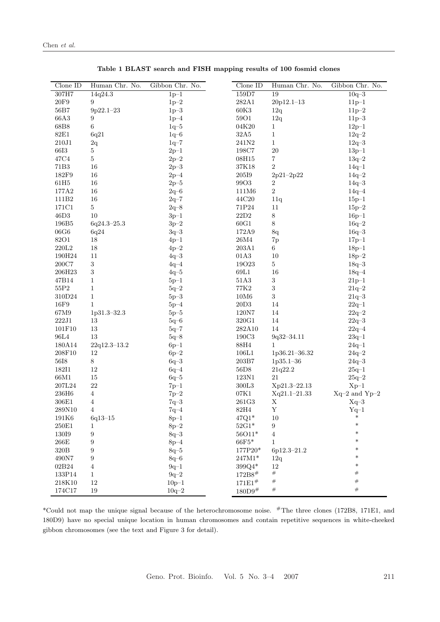| $Clone$ ID          | Human Chr. No.   | Gibbon Chr. No. | $Clone$ ID               | Human Chr. No.   | Gibbon Chr. No.   |
|---------------------|------------------|-----------------|--------------------------|------------------|-------------------|
| 307H7               | 14q24.3          | $1p-1$          | 159D7                    | 19               | $10q - 3$         |
| $20\mathrm{F}9$     | 9                | $1p-2$          | 282A1                    | 20p12.1-13       | $11p-1$           |
| 56B7                | $9p22.1-23$      | $1p-3$          | $60K3$                   | 12q              | $11p - 2$         |
| 66A3                | 9                | $1p-4$          | <b>59O1</b>              | 12q              | $11p-3$           |
| 68B8                | 6                | $1q-5$          | 04K20                    | $\mathbf{1}$     | $12p-1$           |
| $82\mathrm{E}1$     | 6q21             | $1q - 6$        | $32\mathrm{A}5$          | $\mathbf{1}$     | $12q - 2$         |
| $210\mathbf{J}1$    | 2q               | $1q-7$          | 241N2                    | $\,1\,$          | $12q - 3$         |
| $66I3$              | $\bf 5$          | $2p-1$          | 198C7                    | $20\,$           | $13p-1$           |
| 47C4                | $\bf 5$          | $2p-2$          | 08H15                    | $\,7$            | $13q-2$           |
| 71B3                | $16\,$           | $2p-3$          | $37\mathrm{K}18$         | $\overline{2}$   | $14q-1$           |
| 182F9               | 16               | $2p-4$          | 205I9                    | $2p21 - 2p22$    | $14q - 2$         |
| $61\mathrm{H}5$     | $16\,$           | $2p-5$          | 9903                     | 2                | $14q\hbox{--}3$   |
| 177A2               | 16               | $2q-6$          | $111\mathrm{M}6$         | $\sqrt{2}$       | $14q - 4$         |
| 111B <sub>2</sub>   | $16\,$           | $2q - 7$        | 44C20                    | 11q              | $15p-1$           |
| 171C1               | $\overline{5}$   | $2q - 8$        | 71P24                    | 11               | $15p - 2$         |
| 46D <sub>3</sub>    | 10               | $3p-1$          | $22\mathrm{D}2$          | $8\,$            | $16p - 1$         |
| 196B5               | $6q24.3 - 25.3$  | $3p-2$          | $60\mathrm{G}1$          | 8                | $16q - 2$         |
| $06{\rm G}6$        | 6q24             | $3q - 3$        | 172A9                    | 8q               | $16q - 3$         |
| 8201                | 18               | $4p-1$          | $26\mbox{M}4$            | 7p               | $17p-1$           |
| 220L2               | 18               | $4p-2$          | 203A1                    | $6\,$            | $18p-1$           |
| 190H24              | 11               | $4q - 3$        | 01A3                     | 10               | $18p - 2$         |
| $200\mathrm{C}7$    | 3                | $4q-4$          | 19023                    | $\bf 5$          | $18q - 3$         |
| 206H23              | $\sqrt{3}$       | $4q-5$          | $69\mathrm{L}1$          | 16               | $18q - 4$         |
| 47B14               | $\mathbf{1}$     | $5p-1$          | $51A3$                   | $\,3$            | $21p-1$           |
| $55\mathrm{P}2$     | $1\,$            | $5q-2$          | <b>77K2</b>              | $\sqrt{3}$       | $21q - 2$         |
| 310D24              | $\mathbf{1}$     | $5p-3$          | $10\mathrm{M}\mathrm{6}$ | $\,3$            | $21q - 3$         |
| $16F9$              | $\mathbf{1}$     | $5p-4$          | 20D3                     | 14               | $22q-1$           |
| 67M9                | 1p31.3-32.3      | $5p-5$          | $120\mathrm{N}7$         | 14               | $22q - 2$         |
| $222\!\!\:J1$       | 13               | $5q-6$          | 320G1                    | 14               | $22q - 3$         |
| $101 \verb F10 $    | 13               | $5q - 7$        | 282A10                   | 14               | $22q - 4$         |
| 96L4                | 13               | $5q\text{--}8$  | $190\mathrm{C}3$         | $9q32 - 34.11$   | $23q\!\!-\!\!1$   |
| 180A14              | $22q12.3 - 13.2$ | $6p-1$          | $88\mathrm{H}4$          | $\mathbf{1}$     | $24q-1$           |
| 208F10              | 12               | $6p-2$          | 106L1                    | 1p36.21-36.32    | $24q - 2$         |
| $56I8$              | 8                | $6q - 3$        | 203B7                    | $1p35.1 - 36$    | $24q - 3$         |
| 18211               | 12               | $6q - 4$        | $56D8$                   | 21q22.2          | $25q-1$           |
| 66M1                | 15               | $6q - 5$        | $123\mathrm{N1}$         | 21               | $25q - 2$         |
| 207L24              | $22\,$           | $7p-1$          | $300\mathrm{L}3$         | Xp21.3-22.13     | $Xp-1$            |
| 236H6               | $\overline{4}$   | $7p-2$          | 07K1                     | $Xq21.1 - 21.33$ | $Xq-2$ and $Yp-2$ |
| 306E1               | $\overline{4}$   | $7q - 3$        | 261G3                    | $\mathbf X$      | $Xq-3$            |
| 289N10              | $\overline{4}$   | $7q-4$          | $82\mathrm{H}4$          | Y                | $Yq-1$            |
| 191K6               | $6q13 - 15$      | $8p-1$          | $47Q1*$                  | 10               | $\ast$            |
| $250E1$             | 1                | $8p - 2$        | $52\mathrm{G1}^*$        | 9                | $\ast$            |
| 13019               | $\boldsymbol{9}$ | $8q - 3$        | 56011*                   | $\overline{4}$   | $\ast$            |
| $266\mathrm{E}$     | 9                | $8p-4$          | $66F5*$                  | $\mathbf 1$      | $\ast$            |
| $320\mathrm{B}$     | 9                | $8q - 5$        | 177P20*                  | 6p12.3-21.2      | $\ast$            |
| $490N7$             | 9                | $8q - 6$        | $247\mathrm{M1}^*$       | 12q              | $\ast$            |
| 02B24               | $\overline{4}$   | $9q-1$          | 399Q4*                   | 12               | $\ast$            |
| 133P14              | $\mathbf{1}$     | $9q - 2$        | $172B8^{\#}$             | $\#$             | $\#$              |
| 218K10              | $12\,$           | $10p-1$         | 171E1#                   | $^{\#}$          | $\#$              |
| $174\mathrm{C}{17}$ | $19\,$           | $10q - 2$       | $180\mathrm{D}9^{\#}$    | $^{\#}$          | $\#$              |

**Table 1 BLAST search and FISH mapping results of 100 fosmid clones**

\*Could not map the unique signal because of the heterochromosome noise. #The three clones (172B8, 171E1, and 180D9) have no special unique location in human chromosomes and contain repetitive sequences in white-cheeked gibbon chromosomes (see the text and Figure 3 for detail).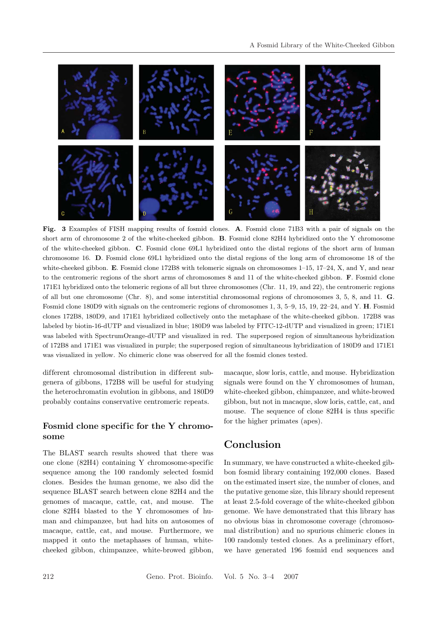

**Fig. 3** Examples of FISH mapping results of fosmid clones. **A**. Fosmid clone 71B3 with a pair of signals on the short arm of chromosome 2 of the white-cheeked gibbon. **B**. Fosmid clone 82H4 hybridized onto the Y chromosome of the white-cheeked gibbon. **C**. Fosmid clone 69L1 hybridized onto the distal regions of the short arm of human chromosome 16. **D**. Fosmid clone 69L1 hybridized onto the distal regions of the long arm of chromosome 18 of the white-cheeked gibbon. **E**. Fosmid clone 172B8 with telomeric signals on chromosomes 1–15, 17–24, X, and Y, and near to the centromeric regions of the short arms of chromosomes 8 and 11 of the white-cheeked gibbon. **F**. Fosmid clone 171E1 hybridized onto the telomeric regions of all but three chromosomes (Chr. 11, 19, and 22), the centromeric regions of all but one chromosome (Chr. 8), and some interstitial chromosomal regions of chromosomes 3, 5, 8, and 11. **G**. Fosmid clone 180D9 with signals on the centromeric regions of chromosomes 1, 3, 5–9, 15, 19, 22–24, and Y. **H**. Fosmid clones 172B8, 180D9, and 171E1 hybridized collectively onto the metaphase of the white-cheeked gibbon. 172B8 was labeled by biotin-16-dUTP and visualized in blue; 180D9 was labeled by FITC-12-dUTP and visualized in green; 171E1 was labeled with SpectrumOrange-dUTP and visualized in red. The superposed region of simultaneous hybridization of 172B8 and 171E1 was visualized in purple; the superposed region of simultaneous hybridization of 180D9 and 171E1 was visualized in yellow. No chimeric clone was observed for all the fosmid clones tested.

different chromosomal distribution in different subgenera of gibbons, 172B8 will be useful for studying the heterochromatin evolution in gibbons, and 180D9 probably contains conservative centromeric repeats.

#### Fosmid clone specific for the Y chromo**some**

The BLAST search results showed that there was one clone (82H4) containing Y chromosome-specific sequence among the 100 randomly selected fosmid clones. Besides the human genome, we also did the sequence BLAST search between clone 82H4 and the genomes of macaque, cattle, cat, and mouse. The clone 82H4 blasted to the Y chromosomes of human and chimpanzee, but had hits on autosomes of macaque, cattle, cat, and mouse. Furthermore, we mapped it onto the metaphases of human, whitecheeked gibbon, chimpanzee, white-browed gibbon,

macaque, slow loris, cattle, and mouse. Hybridization signals were found on the Y chromosomes of human, white-cheeked gibbon, chimpanzee, and white-browed gibbon, but not in macaque, slow loris, cattle, cat, and mouse. The sequence of clone 82H4 is thus specific for the higher primates (apes).

## **Conclusion**

In summary, we have constructed a white-cheeked gibbon fosmid library containing 192,000 clones. Based on the estimated insert size, the number of clones, and the putative genome size, this library should represent at least 2.5-fold coverage of the white-cheeked gibbon genome. We have demonstrated that this library has no obvious bias in chromosome coverage (chromosomal distribution) and no spurious chimeric clones in 100 randomly tested clones. As a preliminary effort, we have generated 196 fosmid end sequences and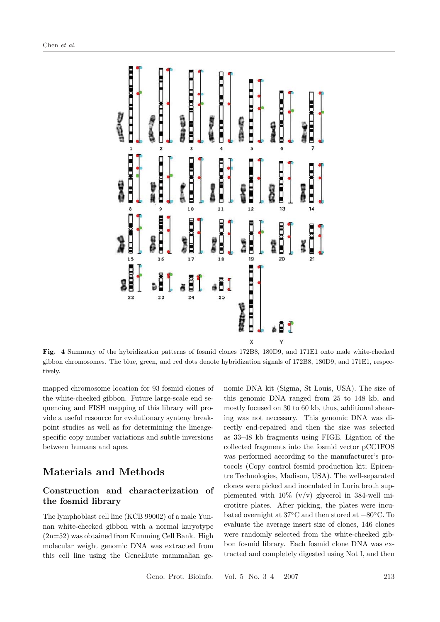

**Fig. 4** Summary of the hybridization patterns of fosmid clones 172B8, 180D9, and 171E1 onto male white-cheeked gibbon chromosomes. The blue, green, and red dots denote hybridization signals of 172B8, 180D9, and 171E1, respectively.

mapped chromosome location for 93 fosmid clones of the white-cheeked gibbon. Future large-scale end sequencing and FISH mapping of this library will provide a useful resource for evolutionary synteny breakpoint studies as well as for determining the lineagespecific copy number variations and subtle inversions between humans and apes.

## **Materials and Methods**

### **Construction and characterization of the fosmid library**

The lymphoblast cell line (KCB 99002) of a male Yunnan white-cheeked gibbon with a normal karyotype  $(2n=52)$  was obtained from Kunming Cell Bank. High molecular weight genomic DNA was extracted from this cell line using the GeneElute mammalian genomic DNA kit (Sigma, St Louis, USA). The size of this genomic DNA ranged from 25 to 148 kb, and mostly focused on 30 to 60 kb, thus, additional shearing was not necessary. This genomic DNA was directly end-repaired and then the size was selected as 33–48 kb fragments using FIGE. Ligation of the collected fragments into the fosmid vector pCC1FOS was performed according to the manufacturer's protocols (Copy control fosmid production kit; Epicentre Technologies, Madison, USA). The well-separated clones were picked and inoculated in Luria broth supplemented with  $10\%$  (v/v) glycerol in 384-well microtitre plates. After picking, the plates were incubated overnight at 37◦C and then stored at −80◦C. To evaluate the average insert size of clones, 146 clones were randomly selected from the white-cheeked gibbon fosmid library. Each fosmid clone DNA was extracted and completely digested using Not I, and then

Geno. Prot. Bioinfo. Vol. 5 No. 3–4 2007 213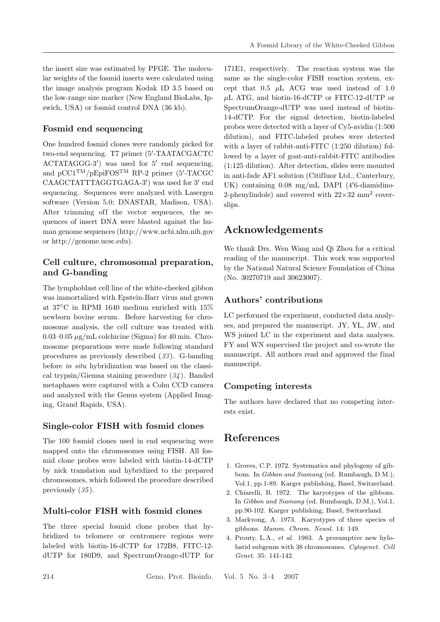the insert size was estimated by PFGE. The molecular weights of the fosmid inserts were calculated using the image analysis program Kodak 1D 3.5 based on the low-range size marker (New England BioLabs, Ipswich, USA) or fosmid control DNA (36 kb).

### **Fosmid end sequencing**

One hundred fosmid clones were randomly picked for two-end sequencing. T7 primer (5 -TAATACGACTC  $\text{ACTATAGGG-3'}$  was used for 5' end sequencing, and  $pCC1<sup>TM</sup>/pEpiFOS<sup>TM</sup>RP-2 primer (5'-TACGC)$ CAAGCTATTTAGGTGAGA-3') was used for 3' end sequencing. Sequences were analyzed with Lasergen software (Version 5.0; DNASTAR, Madison, USA). After trimming off the vector sequences, the sequences of insert DNA were blasted against the human genome sequences (http://www.ncbi.nlm.nih.gov or http://genome.ucsc.edu).

#### **Cell culture, chromosomal preparation, and G-banding**

The lymphoblast cell line of the white-cheeked gibbon was immortalized with Epstein-Barr virus and grown at 37◦C in RPMI 1640 medium enriched with 15% newborn bovine serum. Before harvesting for chromosome analysis, the cell culture was treated with 0.03–0.05  $\mu$ g/mL colchicine (Sigma) for 40 min. Chromosome preparations were made following standard procedures as previously described (*33* ). G-banding before *in situ* hybridization was based on the classical trypsin/Giemsa staining procedure (*34* ). Banded metaphases were captured with a Cohu CCD camera and analyzed with the Genus system (Applied Imaging, Grand Rapids, USA).

#### **Single-color FISH with fosmid clones**

The 100 fosmid clones used in end sequencing were mapped onto the chromosomes using FISH. All fosmid clone probes were labeled with biotin-14-dCTP by nick translation and hybridized to the prepared chromosomes, which followed the procedure described previously (*35* ).

#### **Multi-color FISH with fosmid clones**

The three special fosmid clone probes that hybridized to telomere or centromere regions were labeled with biotin-16-dCTP for 172B8, FITC-12 dUTP for 180D9, and SpectrumOrange-dUTP for

171E1, respectively. The reaction system was the same as the single-color FISH reaction system, except that  $0.5 \mu L$  ACG was used instead of 1.0  $\mu$ L ATG, and biotin-16-dCTP or FITC-12-dUTP or SpectrumOrange-dUTP was used instead of biotin-14-dCTP. For the signal detection, biotin-labeled probes were detected with a layer of Cy5-avidin (1:500 dilution), and FITC-labeled probes were detected with a layer of rabbit-anti-FITC  $(1:250$  dilution) followed by a layer of goat-anti-rabbit-FITC antibodies (1:125 dilution). After detection, slides were mounted in anti-fade AF1 solution (Citifluor Ltd., Canterbury, UK) containing 0.08 mg/mL DAPI (4 6-diamidino-2-phenylindole) and covered with  $22\times32$  mm<sup>2</sup> coverslips.

## **Acknowledgements**

We thank Drs. Wen Wang and Qi Zhou for a critical reading of the manuscript. This work was supported by the National Natural Science Foundation of China (No. 30270719 and 30623007).

#### **Authors' contributions**

LC performed the experiment, conducted data analyses, and prepared the manuscript. JY, YL, JW, and WS joined LC in the experiment and data analyses. FY and WN supervised the project and co-wrote the manuscript. All authors read and approved the final manuscript.

### **Competing interests**

The authors have declared that no competing interests exist.

## **References**

- 1. Groves, C.P. 1972. Systematics and phylogeny of gibbons. In *Gibbon and Siaman*g (ed. Rumbaugh, D.M.), Vol.1, pp.1-89. Karger publishing, Basel, Switzerland.
- 2. Chiarelli, B. 1972. The karyotypes of the gibbons. In *Gibbon and Siamang* (ed. Rumbaugh, D.M.), Vol.1, pp.90-102. Karger publishing, Basel, Switzerland.
- 3. Markvong, A. 1973. Karyotypes of three species of gibbons. *Mamm. Chrom. Newsl*. 14: 149.
- 4. Prouty, L.A., *et al*. 1983. A presumptive new hylobatid subgenus with 38 chromosomes. *Cytogenet. Cell Genet*. 35: 141-142.